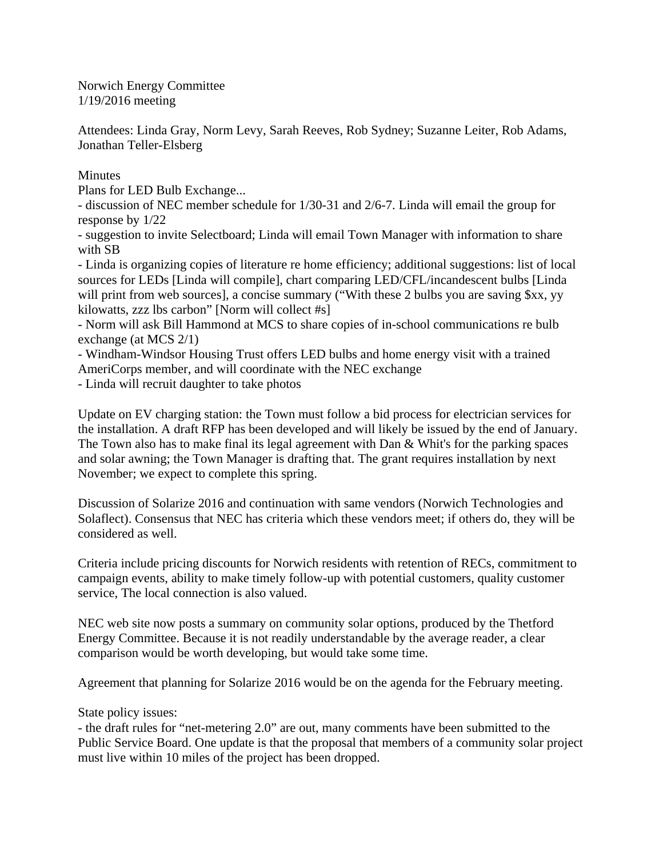Norwich Energy Committee 1/19/2016 meeting

Attendees: Linda Gray, Norm Levy, Sarah Reeves, Rob Sydney; Suzanne Leiter, Rob Adams, Jonathan Teller-Elsberg

**Minutes** 

Plans for LED Bulb Exchange...

- discussion of NEC member schedule for 1/30-31 and 2/6-7. Linda will email the group for response by 1/22

- suggestion to invite Selectboard; Linda will email Town Manager with information to share with SB

- Linda is organizing copies of literature re home efficiency; additional suggestions: list of local sources for LEDs [Linda will compile], chart comparing LED/CFL/incandescent bulbs [Linda will print from web sources], a concise summary ("With these 2 bulbs you are saving \$xx, yy kilowatts, zzz lbs carbon" [Norm will collect #s]

- Norm will ask Bill Hammond at MCS to share copies of in-school communications re bulb exchange (at MCS 2/1)

- Windham-Windsor Housing Trust offers LED bulbs and home energy visit with a trained AmeriCorps member, and will coordinate with the NEC exchange

- Linda will recruit daughter to take photos

Update on EV charging station: the Town must follow a bid process for electrician services for the installation. A draft RFP has been developed and will likely be issued by the end of January. The Town also has to make final its legal agreement with Dan & Whit's for the parking spaces and solar awning; the Town Manager is drafting that. The grant requires installation by next November; we expect to complete this spring.

Discussion of Solarize 2016 and continuation with same vendors (Norwich Technologies and Solaflect). Consensus that NEC has criteria which these vendors meet; if others do, they will be considered as well.

Criteria include pricing discounts for Norwich residents with retention of RECs, commitment to campaign events, ability to make timely follow-up with potential customers, quality customer service, The local connection is also valued.

NEC web site now posts a summary on community solar options, produced by the Thetford Energy Committee. Because it is not readily understandable by the average reader, a clear comparison would be worth developing, but would take some time.

Agreement that planning for Solarize 2016 would be on the agenda for the February meeting.

State policy issues:

- the draft rules for "net-metering 2.0" are out, many comments have been submitted to the Public Service Board. One update is that the proposal that members of a community solar project must live within 10 miles of the project has been dropped.